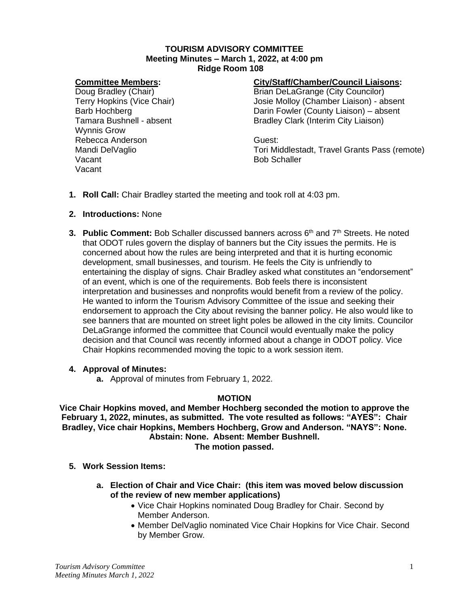#### **TOURISM ADVISORY COMMITTEE Meeting Minutes – March 1, 2022, at 4:00 pm Ridge Room 108**

#### **Committee Members:**

Doug Bradley (Chair) Terry Hopkins (Vice Chair) Barb Hochberg Tamara Bushnell - absent Wynnis Grow Rebecca Anderson Mandi DelVaglio Vacant Vacant

#### **City/Staff/Chamber/Council Liaisons:**

Brian DeLaGrange (City Councilor) Josie Molloy (Chamber Liaison) - absent Darin Fowler (County Liaison) – absent Bradley Clark (Interim City Liaison)

Guest: Tori Middlestadt, Travel Grants Pass (remote) Bob Schaller

- **1. Roll Call:** Chair Bradley started the meeting and took roll at 4:03 pm.
- **2. Introductions:** None
- **3. Public Comment:** Bob Schaller discussed banners across 6<sup>th</sup> and 7<sup>th</sup> Streets. He noted that ODOT rules govern the display of banners but the City issues the permits. He is concerned about how the rules are being interpreted and that it is hurting economic development, small businesses, and tourism. He feels the City is unfriendly to entertaining the display of signs. Chair Bradley asked what constitutes an "endorsement" of an event, which is one of the requirements. Bob feels there is inconsistent interpretation and businesses and nonprofits would benefit from a review of the policy. He wanted to inform the Tourism Advisory Committee of the issue and seeking their endorsement to approach the City about revising the banner policy. He also would like to see banners that are mounted on street light poles be allowed in the city limits. Councilor DeLaGrange informed the committee that Council would eventually make the policy decision and that Council was recently informed about a change in ODOT policy. Vice Chair Hopkins recommended moving the topic to a work session item.

#### **4. Approval of Minutes:**

**a.** Approval of minutes from February 1, 2022.

### **MOTION**

**Vice Chair Hopkins moved, and Member Hochberg seconded the motion to approve the February 1, 2022, minutes, as submitted. The vote resulted as follows: "AYES": Chair Bradley, Vice chair Hopkins, Members Hochberg, Grow and Anderson. "NAYS": None. Abstain: None. Absent: Member Bushnell.**

**The motion passed.**

- **5. Work Session Items:**
	- **a. Election of Chair and Vice Chair: (this item was moved below discussion of the review of new member applications)**
		- Vice Chair Hopkins nominated Doug Bradley for Chair. Second by Member Anderson.
		- Member DelVaglio nominated Vice Chair Hopkins for Vice Chair. Second by Member Grow.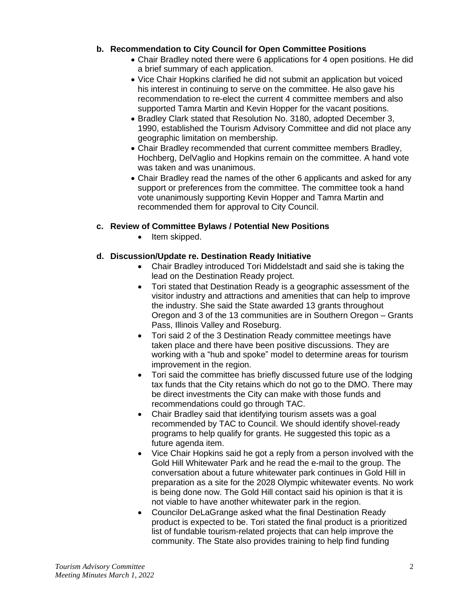## **b. Recommendation to City Council for Open Committee Positions**

- Chair Bradley noted there were 6 applications for 4 open positions. He did a brief summary of each application.
- Vice Chair Hopkins clarified he did not submit an application but voiced his interest in continuing to serve on the committee. He also gave his recommendation to re-elect the current 4 committee members and also supported Tamra Martin and Kevin Hopper for the vacant positions.
- Bradley Clark stated that Resolution No. 3180, adopted December 3, 1990, established the Tourism Advisory Committee and did not place any geographic limitation on membership.
- Chair Bradley recommended that current committee members Bradley, Hochberg, DelVaglio and Hopkins remain on the committee. A hand vote was taken and was unanimous.
- Chair Bradley read the names of the other 6 applicants and asked for any support or preferences from the committee. The committee took a hand vote unanimously supporting Kevin Hopper and Tamra Martin and recommended them for approval to City Council.

## **c. Review of Committee Bylaws / Potential New Positions**

• Item skipped.

# **d. Discussion/Update re. Destination Ready Initiative**

- Chair Bradley introduced Tori Middelstadt and said she is taking the lead on the Destination Ready project.
- Tori stated that Destination Ready is a geographic assessment of the visitor industry and attractions and amenities that can help to improve the industry. She said the State awarded 13 grants throughout Oregon and 3 of the 13 communities are in Southern Oregon – Grants Pass, Illinois Valley and Roseburg.
- Tori said 2 of the 3 Destination Ready committee meetings have taken place and there have been positive discussions. They are working with a "hub and spoke" model to determine areas for tourism improvement in the region.
- Tori said the committee has briefly discussed future use of the lodging tax funds that the City retains which do not go to the DMO. There may be direct investments the City can make with those funds and recommendations could go through TAC.
- Chair Bradley said that identifying tourism assets was a goal recommended by TAC to Council. We should identify shovel-ready programs to help qualify for grants. He suggested this topic as a future agenda item.
- Vice Chair Hopkins said he got a reply from a person involved with the Gold Hill Whitewater Park and he read the e-mail to the group. The conversation about a future whitewater park continues in Gold Hill in preparation as a site for the 2028 Olympic whitewater events. No work is being done now. The Gold Hill contact said his opinion is that it is not viable to have another whitewater park in the region.
- Councilor DeLaGrange asked what the final Destination Ready product is expected to be. Tori stated the final product is a prioritized list of fundable tourism-related projects that can help improve the community. The State also provides training to help find funding